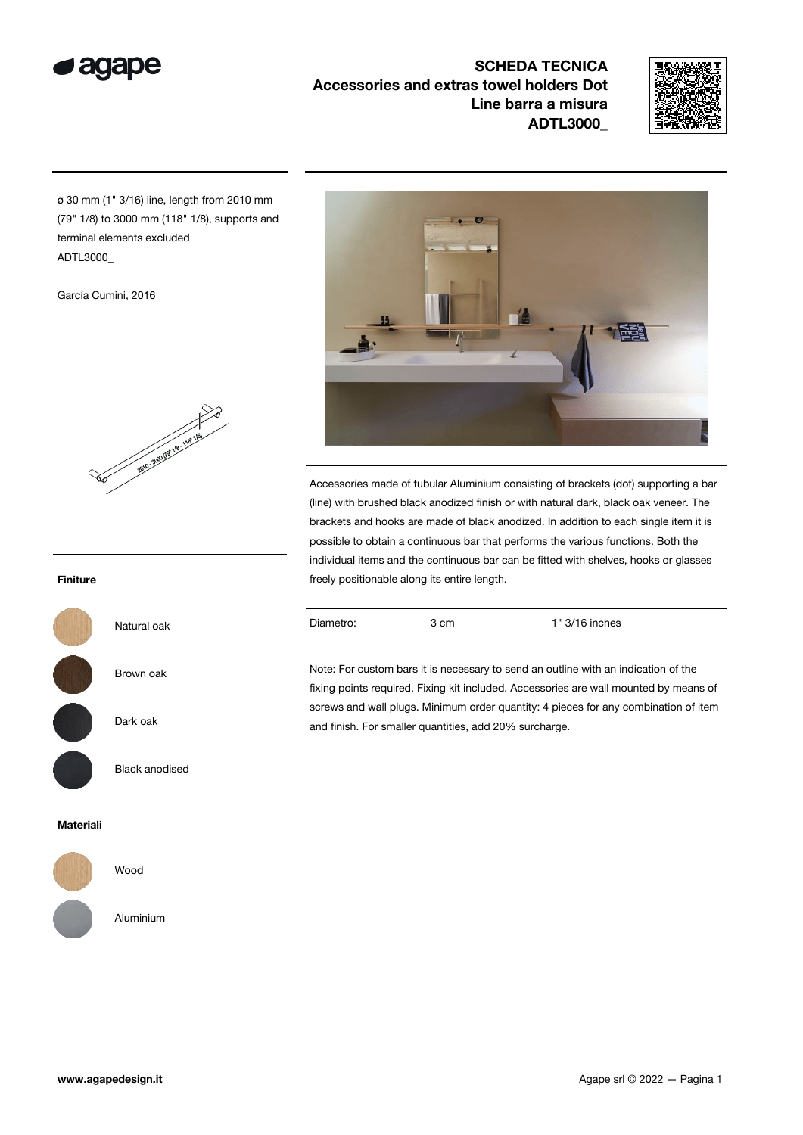

SCHEDA TECNICA Accessories and extras towel holders Dot Line barra a misura ADTL3000\_



ø 30 mm (1" 3/16) line, length from 2010 mm (79" 1/8) to 3000 mm (118" 1/8), supports and terminal elements excluded ADTL3000\_

García Cumini, 2016



Natural oak

Brown oak

Dark oak

Black anodised

# 14 <u>jug</u>

Accessories made of tubular Aluminium consisting of brackets (dot) supporting a bar (line) with brushed black anodized finish or with natural dark, black oak veneer. The brackets and hooks are made of black anodized. In addition to each single item it is possible to obtain a continuous bar that performs the various functions. Both the individual items and the continuous bar can be fitted with shelves, hooks or glasses freely positionable along its entire length.

Diametro: 3 cm 1" 3/16 inches

Note: For custom bars it is necessary to send an outline with an indication of the fixing points required. Fixing kit included. Accessories are wall mounted by means of screws and wall plugs. Minimum order quantity: 4 pieces for any combination of item and finish. For smaller quantities, add 20% surcharge.

Finiture



# Materiali



Wood

Aluminium